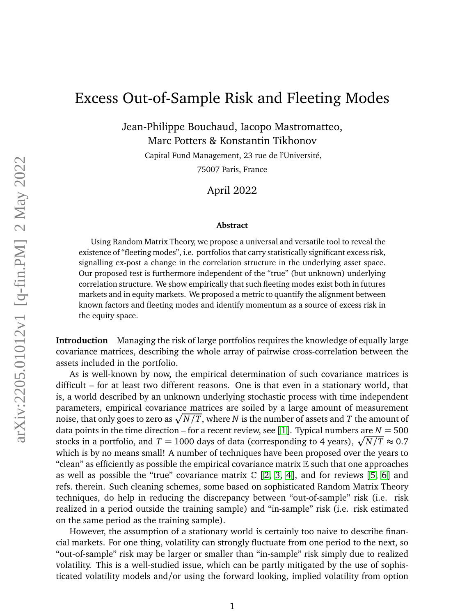## Excess Out-of-Sample Risk and Fleeting Modes

Jean-Philippe Bouchaud, Iacopo Mastromatteo, Marc Potters & Konstantin Tikhonov

> Capital Fund Management, 23 rue de l'Université, 75007 Paris, France

> > April 2022

## **Abstract**

Using Random Matrix Theory, we propose a universal and versatile tool to reveal the existence of "fleeting modes", i.e. portfolios that carry statistically significant excess risk, signalling ex-post a change in the correlation structure in the underlying asset space. Our proposed test is furthermore independent of the "true" (but unknown) underlying correlation structure. We show empirically that such fleeting modes exist both in futures markets and in equity markets. We proposed a metric to quantify the alignment between known factors and fleeting modes and identify momentum as a source of excess risk in the equity space.

**Introduction** Managing the risk of large portfolios requires the knowledge of equally large covariance matrices, describing the whole array of pairwise cross-correlation between the assets included in the portfolio.

As is well-known by now, the empirical determination of such covariance matrices is difficult – for at least two different reasons. One is that even in a stationary world, that is, a world described by an unknown underlying stochastic process with time independent parameters, empirical covariance matrices are soiled by a large amount of measurement noise, that only goes to zero as  $\sqrt{N/T}$ , where  $N$  is the number of assets and  $T$  the amount of data points in the time direction – for a recent review, see [[1](#page-8-0)]. Typical numbers are  $N = 500$ stocks in a portfolio, and  $T = 1000$  days of data (corresponding to 4 years),  $\sqrt{N/T} \approx 0.7$ which is by no means small! A number of techniques have been proposed over the years to "clean" as efficiently as possible the empirical covariance matrix  $E$  such that one approaches as well as possible the "true" covariance matrix  $\mathbb{C}$  [[2,](#page-8-1) [3,](#page-8-2) [4](#page-8-3)], and for reviews [[5,](#page-8-4) [6](#page-8-5)] and refs. therein. Such cleaning schemes, some based on sophisticated Random Matrix Theory techniques, do help in reducing the discrepancy between "out-of-sample" risk (i.e. risk realized in a period outside the training sample) and "in-sample" risk (i.e. risk estimated on the same period as the training sample).

However, the assumption of a stationary world is certainly too naive to describe financial markets. For one thing, volatility can strongly fluctuate from one period to the next, so "out-of-sample" risk may be larger or smaller than "in-sample" risk simply due to realized volatility. This is a well-studied issue, which can be partly mitigated by the use of sophisticated volatility models and/or using the forward looking, implied volatility from option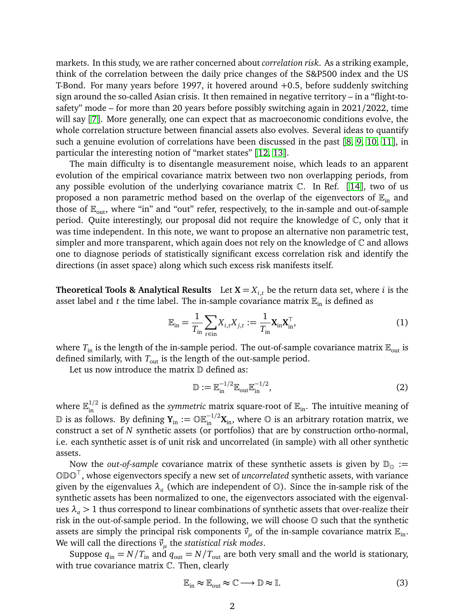markets. In this study, we are rather concerned about *correlation risk*. As a striking example, think of the correlation between the daily price changes of the S&P500 index and the US T-Bond. For many years before 1997, it hovered around +0.5, before suddenly switching sign around the so-called Asian crisis. It then remained in negative territory – in a "flight-tosafety" mode – for more than 20 years before possibly switching again in 2021/2022, time will say [[7](#page-8-6)]. More generally, one can expect that as macroeconomic conditions evolve, the whole correlation structure between financial assets also evolves. Several ideas to quantify such a genuine evolution of correlations have been discussed in the past [[8,](#page-8-7) [9,](#page-8-8) [10,](#page-8-9) [11](#page-8-10)], in particular the interesting notion of "market states" [[12,](#page-8-11) [13](#page-8-12)].

The main difficulty is to disentangle measurement noise, which leads to an apparent evolution of the empirical covariance matrix between two non overlapping periods, from any possible evolution of the underlying covariance matrix  $\mathbb{C}$ . In Ref. [[14](#page-8-13)], two of us proposed a non parametric method based on the overlap of the eigenvectors of  $\mathbb{E}_{\text{in}}$  and those of  $\mathbb{E}_{\text{out}}$ , where "in" and "out" refer, respectively, to the in-sample and out-of-sample period. Quite interestingly, our proposal did not require the knowledge of C, only that it was time independent. In this note, we want to propose an alternative non parametric test, simpler and more transparent, which again does not rely on the knowledge of  $\mathbb C$  and allows one to diagnose periods of statistically significant excess correlation risk and identify the directions (in asset space) along which such excess risk manifests itself.

**Theoretical Tools & Analytical Results** Let  $X = X_{i,t}$  be the return data set, where *i* is the asset label and *t* the time label. The in-sample covariance matrix  $\mathbb{E}_{in}$  is defined as

<span id="page-1-0"></span>
$$
\mathbb{E}_{\text{in}} = \frac{1}{T_{\text{in}}} \sum_{t \in \text{in}} X_{i,t} X_{j,t} := \frac{1}{T_{\text{in}}} \mathbf{X}_{\text{in}} \mathbf{X}_{\text{in}}^{\top},\tag{1}
$$

where  $T_{\text{in}}$  is the length of the in-sample period. The out-of-sample covariance matrix  $\mathbb{E}_{\text{out}}$  is defined similarly, with  $T_{\text{out}}$  is the length of the out-sample period.

Let us now introduce the matrix  $D$  defined as:

$$
\mathbb{D} := \mathbb{E}_{\text{in}}^{-1/2} \mathbb{E}_{\text{out}} \mathbb{E}_{\text{in}}^{-1/2},\tag{2}
$$

where  $\mathbb{E}_{\text{in}}^{1/2}$  is defined as the *symmetric* matrix square-root of  $\mathbb{E}_{\text{in}}$ . The intuitive meaning of  $\mathbb D$  is as follows. By defining  $Y_{in} := \mathbb{O}\mathbb{E}_{in}^{-1/2}X_{in}$ , where  $\mathbb O$  is an arbitrary rotation matrix, we construct a set of *N* synthetic assets (or portfolios) that are by construction ortho-normal, i.e. each synthetic asset is of unit risk and uncorrelated (in sample) with all other synthetic assets.

Now the *out-of-sample* covariance matrix of these synthetic assets is given by  $\mathbb{D}_{\mathbb{O}} :=$ ODO<sup>&</sup>gt; , whose eigenvectors specify a new set of *uncorrelated* synthetic assets, with variance given by the eigenvalues  $\lambda_a$  (which are independent of  $\mathbb{O}$ ). Since the in-sample risk of the synthetic assets has been normalized to one, the eigenvectors associated with the eigenvalues  $\lambda_a > 1$  thus correspond to linear combinations of synthetic assets that over-realize their risk in the out-of-sample period. In the following, we will choose O such that the synthetic assets are simply the principal risk components  $\vec{v}_u$  of the in-sample covariance matrix  $\mathbb{E}_{\text{in}}$ . We will call the directions  $\vec{v}_\mu$  the *statistical risk modes*.

Suppose  $q_{\text{in}} = N/T_{\text{in}}$  and  $q_{\text{out}} = N/T_{\text{out}}$  are both very small and the world is stationary, with true covariance matrix C. Then, clearly

$$
\mathbb{E}_{\text{in}} \approx \mathbb{E}_{\text{out}} \approx \mathbb{C} \longrightarrow \mathbb{D} \approx \mathbb{I}.\tag{3}
$$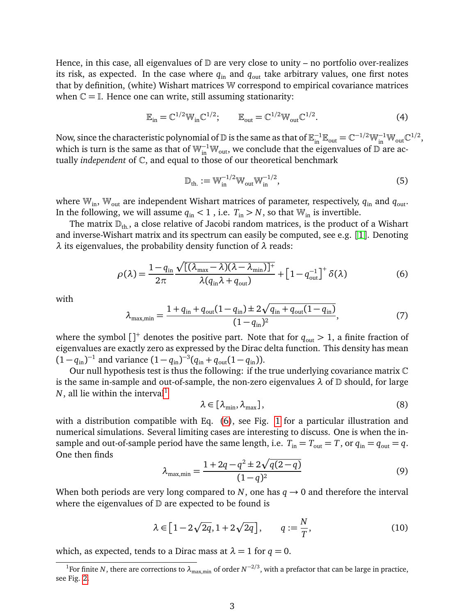Hence, in this case, all eigenvalues of  $\mathbb D$  are very close to unity – no portfolio over-realizes its risk, as expected. In the case where  $q_{\text{in}}$  and  $q_{\text{out}}$  take arbitrary values, one first notes that by definition, (white) Wishart matrices W correspond to empirical covariance matrices when  $\mathbb{C} = \mathbb{I}$ . Hence one can write, still assuming stationarity:

$$
\mathbb{E}_{\text{in}} = \mathbb{C}^{1/2} \mathbb{W}_{\text{in}} \mathbb{C}^{1/2}; \qquad \mathbb{E}_{\text{out}} = \mathbb{C}^{1/2} \mathbb{W}_{\text{out}} \mathbb{C}^{1/2}.
$$

Now, since the characteristic polynomial of  $\mathbb D$  is the same as that of  $\mathbb E_\text{in}^{-1}\mathbb E_\text{out}=\mathbb C^{-1/2}\mathbb W_\text{in}^{-1}\mathbb W_\text{out}\mathbb C^{1/2}$ , which is turn is the same as that of  $\mathbb{W}_{in}^{-1}\mathbb{W}_{out}$ , we conclude that the eigenvalues of  $\mathbb{D}$  are actually *independent* of C, and equal to those of our theoretical benchmark

$$
\mathbb{D}_{\text{th.}} := \mathbb{W}_{\text{in}}^{-1/2} \mathbb{W}_{\text{out}} \mathbb{W}_{\text{in}}^{-1/2},\tag{5}
$$

where  $\mathbb{W}_{\text{in}}$ ,  $\mathbb{W}_{\text{out}}$  are independent Wishart matrices of parameter, respectively,  $q_{\text{in}}$  and  $q_{\text{out}}$ . In the following, we will assume  $q_{\text{in}} < 1$ , i.e.  $T_{\text{in}} > N$ , so that  $\mathbb{W}_{\text{in}}$  is invertible.

The matrix  $\mathbb{D}_{th}$ , a close relative of Jacobi random matrices, is the product of a Wishart and inverse-Wishart matrix and its spectrum can easily be computed, see e.g. [[1](#page-8-0)]. Denoting *λ* its eigenvalues, the probability density function of *λ* reads:

<span id="page-2-1"></span>
$$
\rho(\lambda) = \frac{1 - q_{\text{in}} \sqrt{[(\lambda_{\text{max}} - \lambda)(\lambda - \lambda_{\text{min}})]^+}}{2\pi} + [1 - q_{\text{out}}^{-1}]^+ \delta(\lambda)
$$
(6)

with

$$
\lambda_{\max,\min} = \frac{1 + q_{\text{in}} + q_{\text{out}}(1 - q_{\text{in}}) \pm 2\sqrt{q_{\text{in}} + q_{\text{out}}(1 - q_{\text{in}})}}{(1 - q_{\text{in}})^2},\tag{7}
$$

where the symbol  $\left[\right]^{+}$  denotes the positive part. Note that for  $q_{\text{out}} > 1$ , a finite fraction of eigenvalues are exactly zero as expressed by the Dirac delta function. This density has mean  $(1 - q_{\text{in}})^{-1}$  and variance  $(1 - q_{\text{in}})^{-3} (q_{\text{in}} + q_{\text{out}} (1 - q_{\text{in}})).$ 

Our null hypothesis test is thus the following: if the true underlying covariance matrix  $\mathbb C$ is the same in-sample and out-of-sample, the non-zero eigenvalues  $\lambda$  of  $D$  should, for large  $N$ , all lie within the interval<sup>[1](#page-2-0)</sup>

$$
\lambda \in [\lambda_{\min}, \lambda_{\max}], \tag{8}
$$

with a distribution compatible with Eq. [\(6\)](#page-2-1), see Fig. [1](#page-3-0) for a particular illustration and numerical simulations. Several limiting cases are interesting to discuss. One is when the insample and out-of-sample period have the same length, i.e.  $T_{in} = T_{out} = T$ , or  $q_{in} = q_{out} = q$ . One then finds

<span id="page-2-2"></span>
$$
\lambda_{\max,\min} = \frac{1 + 2q - q^2 \pm 2\sqrt{q(2 - q)}}{(1 - q)^2} \tag{9}
$$

When both periods are very long compared to *N*, one has  $q \rightarrow 0$  and therefore the interval where the eigenvalues of  $D$  are expected to be found is

$$
\lambda \in \left[1 - 2\sqrt{2q}, 1 + 2\sqrt{2q}\right], \qquad q := \frac{N}{T},\tag{10}
$$

which, as expected, tends to a Dirac mass at  $\lambda = 1$  for  $q = 0$ .

<span id="page-2-0"></span><sup>&</sup>lt;sup>1</sup>For finite *N*, there are corrections to  $\lambda_{\max,min}$  of order  $N^{-2/3}$ , with a prefactor that can be large in practice, see Fig. [2.](#page-4-0)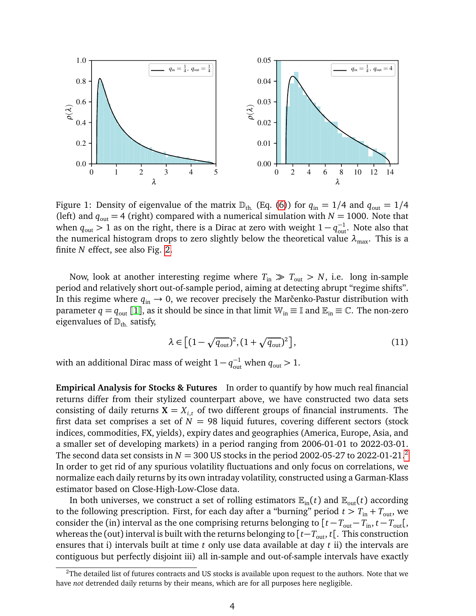

<span id="page-3-0"></span>Figure 1: Density of eigenvalue of the matrix  $\mathbb{D}_{th}$  (Eq. [\(6\)](#page-2-1)) for  $q_{in} = 1/4$  and  $q_{out} = 1/4$ (left) and  $q_{\text{out}} = 4$  (right) compared with a numerical simulation with  $N = 1000$ . Note that when  $q_{\text{out}} > 1$  as on the right, there is a Dirac at zero with weight  $1 - q_{\text{out}}^{-1}$ . Note also that the numerical histogram drops to zero slightly below the theoretical value  $\lambda_{\text{max}}$ . This is a finite *N* effect, see also Fig. [2.](#page-4-0)

Now, look at another interesting regime where  $T_{\text{in}} \gg T_{\text{out}} > N$ , i.e. long in-sample period and relatively short out-of-sample period, aiming at detecting abrupt "regime shifts". In this regime where  $q_{in} \rightarrow 0$ , we recover precisely the Marčenko-Pastur distribution with parameter  $q = q_{out} [1]$  $q = q_{out} [1]$  $q = q_{out} [1]$ , as it should be since in that limit  $W_{in} \equiv \mathbb{I}$  and  $\mathbb{E}_{in} \equiv \mathbb{C}$ . The non-zero eigenvalues of  $\mathbb{D}_{th.}$  satisfy,

$$
\lambda \in \left[ (1 - \sqrt{q_{\text{out}}})^2, (1 + \sqrt{q_{\text{out}}})^2 \right],\tag{11}
$$

with an additional Dirac mass of weight  $1 - q_{\text{out}}^{-1}$  when  $q_{\text{out}} > 1$ .

**Empirical Analysis for Stocks & Futures** In order to quantify by how much real financial returns differ from their stylized counterpart above, we have constructed two data sets consisting of daily returns  $X = X_{i,t}$  of two different groups of financial instruments. The first data set comprises a set of  $N = 98$  liquid futures, covering different sectors (stock indices, commodities, FX, yields), expiry dates and geographies (America, Europe, Asia, and a smaller set of developing markets) in a period ranging from 2006-01-01 to 2022-03-01. The second data set consists in  $N = 300$  US stocks in the period [2](#page-3-1)002-05-27 to 2022-01-21.<sup>2</sup> In order to get rid of any spurious volatility fluctuations and only focus on correlations, we normalize each daily returns by its own intraday volatility, constructed using a Garman-Klass estimator based on Close-High-Low-Close data.

In both universes, we construct a set of rolling estimators  $\mathbb{E}_{in}(t)$  and  $\mathbb{E}_{out}(t)$  according to the following prescription. First, for each day after a "burning" period  $t > T_{\text{in}} + T_{\text{out}}$ , we consider the (in) interval as the one comprising returns belonging to  $[t - T_{out} - T_{in}, t - T_{out}$ , whereas the (out) interval is built with the returns belonging to  $[t-T<sub>out</sub>, t[$ . This construction ensures that i) intervals built at time *t* only use data available at day *t* ii) the intervals are contiguous but perfectly disjoint iii) all in-sample and out-of-sample intervals have exactly

<span id="page-3-1"></span><sup>&</sup>lt;sup>2</sup>The detailed list of futures contracts and US stocks is available upon request to the authors. Note that we have *not* detrended daily returns by their means, which are for all purposes here negligible.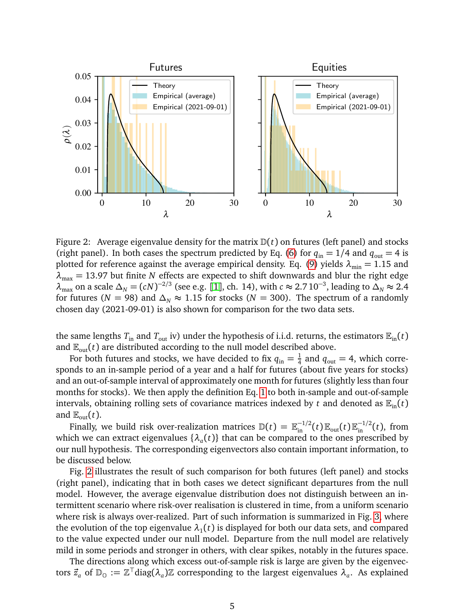

<span id="page-4-0"></span>Figure 2: Average eigenvalue density for the matrix  $D(t)$  on futures (left panel) and stocks (right panel). In both cases the spectrum predicted by Eq. [\(6\)](#page-2-1) for  $q_{\text{in}} = 1/4$  and  $q_{\text{out}} = 4$  is plotted for reference against the average empirical density. Eq. [\(9\)](#page-2-2) yields  $\lambda_{\min} = 1.15$  and *λ*max = 13.97 but finite *N* effects are expected to shift downwards and blur the right edge  $\lambda_{\max}$  on a scale  $\Delta_N = (cN)^{-2/3}$  (see e.g. [[1](#page-8-0)], ch. 14), with  $c \approx 2.7 \, 10^{-3}$ , leading to  $\Delta_N \approx 2.4$ for futures ( $N = 98$ ) and  $\Delta_N \approx 1.15$  for stocks ( $N = 300$ ). The spectrum of a randomly chosen day (2021-09-01) is also shown for comparison for the two data sets.

the same lengths  $T_{\text{in}}$  and  $T_{\text{out}}$  iv) under the hypothesis of i.i.d. returns, the estimators  $\mathbb{E}_{\text{in}}(t)$ and  $\mathbb{E}_{out}(t)$  are distributed according to the null model described above.

For both futures and stocks, we have decided to fix  $q_{\rm in}=\frac{1}{4}$  $\frac{1}{4}$  and  $q_{\text{out}} = 4$ , which corresponds to an in-sample period of a year and a half for futures (about five years for stocks) and an out-of-sample interval of approximately one month for futures (slightly less than four months for stocks). We then apply the definition Eq. [1](#page-1-0) to both in-sample and out-of-sample intervals, obtaining rolling sets of covariance matrices indexed by *t* and denoted as  $\mathbb{E}_{in}(t)$ and  $\mathbb{E}_{\text{out}}(t)$ .

Finally, we build risk over-realization matrices  $\mathbb{D}(t) = \mathbb{E}_{\text{in}}^{-1/2}(t) \mathbb{E}_{\text{out}}(t) \mathbb{E}_{\text{in}}^{-1/2}(t)$ , from which we can extract eigenvalues  $\{\lambda_a(t)\}\$  that can be compared to the ones prescribed by our null hypothesis. The corresponding eigenvectors also contain important information, to be discussed below.

Fig. [2](#page-4-0) illustrates the result of such comparison for both futures (left panel) and stocks (right panel), indicating that in both cases we detect significant departures from the null model. However, the average eigenvalue distribution does not distinguish between an intermittent scenario where risk-over realisation is clustered in time, from a uniform scenario where risk is always over-realized. Part of such information is summarized in Fig. [3,](#page-5-0) where the evolution of the top eigenvalue  $\lambda_1(t)$  is displayed for both our data sets, and compared to the value expected under our null model. Departure from the null model are relatively mild in some periods and stronger in others, with clear spikes, notably in the futures space.

The directions along which excess out-of-sample risk is large are given by the eigenvectors  $\vec{z}_a$  of  $\mathbb{D}_{\mathbb{O}} := \mathbb{Z}^\top$ diag $(\lambda_a)\mathbb{Z}$  corresponding to the largest eigenvalues  $\lambda_a$ . As explained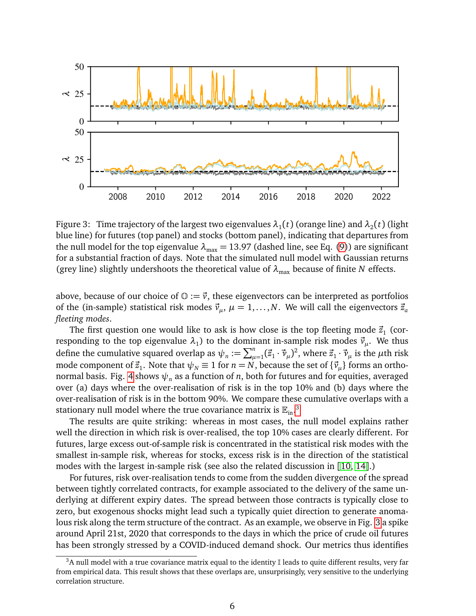

<span id="page-5-0"></span>Figure 3: Time trajectory of the largest two eigenvalues  $\lambda_1(t)$  (orange line) and  $\lambda_2(t)$  (light blue line) for futures (top panel) and stocks (bottom panel), indicating that departures from the null model for the top eigenvalue  $\lambda_{\text{max}} = 13.97$  (dashed line, see Eq. [\(9\)](#page-2-2)) are significant for a substantial fraction of days. Note that the simulated null model with Gaussian returns (grey line) slightly undershoots the theoretical value of  $\lambda_{\text{max}}$  because of finite *N* effects.

above, because of our choice of  $\mathbb{O} := \vec{v}$ , these eigenvectors can be interpreted as portfolios of the (in-sample) statistical risk modes  $\vec{v}_\mu$ ,  $\mu = 1, \ldots, N$ . We will call the eigenvectors  $\vec{z}_a$ *fleeting modes*.

The first question one would like to ask is how close is the top fleeting mode  $\vec{z}_1$  (corresponding to the top eigenvalue  $\lambda_1$ ) to the dominant in-sample risk modes  $\vec{v}_\mu$ . We thus define the cumulative squared overlap as  $\psi_n := \sum_{\mu=1}^n (\vec{z}_1 \cdot \vec{v}_\mu)^2$ , where  $\vec{z}_1 \cdot \vec{v}_\mu$  is the  $\mu$ th risk mode component of  $\vec{z}_1$ . Note that  $\psi_N \equiv 1$  for  $n=N$ , because the set of  $\{\vec{v}_\mu\}$  forms an ortho-normal basis. Fig. [4](#page-6-0) shows  $\psi_n$  as a function of *n*, both for futures and for equities, averaged over (a) days where the over-realisation of risk is in the top 10% and (b) days where the over-realisation of risk is in the bottom 90%. We compare these cumulative overlaps with a stationary null model where the true covariance matrix is  $\mathbb{E}_{\text{in}}$ .<sup>[3](#page-5-1)</sup>

The results are quite striking: whereas in most cases, the null model explains rather well the direction in which risk is over-realised, the top 10% cases are clearly different. For futures, large excess out-of-sample risk is concentrated in the statistical risk modes with the smallest in-sample risk, whereas for stocks, excess risk is in the direction of the statistical modes with the largest in-sample risk (see also the related discussion in [[10,](#page-8-9) [14](#page-8-13)].)

For futures, risk over-realisation tends to come from the sudden divergence of the spread between tightly correlated contracts, for example associated to the delivery of the same underlying at different expiry dates. The spread between those contracts is typically close to zero, but exogenous shocks might lead such a typically quiet direction to generate anomalous risk along the term structure of the contract. As an example, we observe in Fig. [3](#page-5-0) a spike around April 21st, 2020 that corresponds to the days in which the price of crude oil futures has been strongly stressed by a COVID-induced demand shock. Our metrics thus identifies

<span id="page-5-1"></span> $3A$  null model with a true covariance matrix equal to the identity I leads to quite different results, very far from empirical data. This result shows that these overlaps are, unsurprisingly, very sensitive to the underlying correlation structure.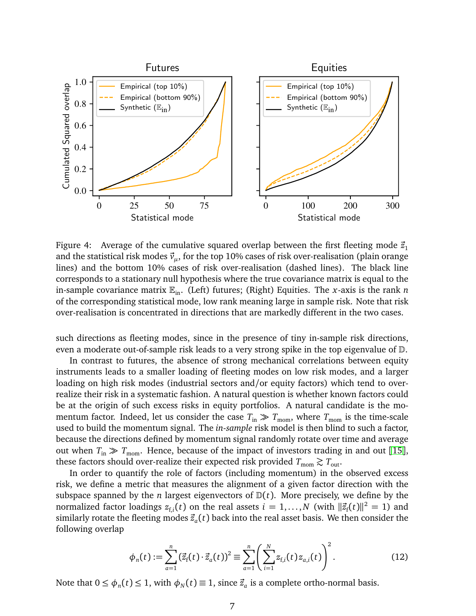

<span id="page-6-0"></span>Figure 4: Average of the cumulative squared overlap between the first fleeting mode  $\vec{z}_1$ and the statistical risk modes  $\vec{v}_\mu$ , for the top 10% cases of risk over-realisation (plain orange lines) and the bottom 10% cases of risk over-realisation (dashed lines). The black line corresponds to a stationary null hypothesis where the true covariance matrix is equal to the in-sample covariance matrix  $\mathbb{E}_{in}$ . (Left) futures; (Right) Equities. The *x*-axis is the rank *n* of the corresponding statistical mode, low rank meaning large in sample risk. Note that risk over-realisation is concentrated in directions that are markedly different in the two cases.

such directions as fleeting modes, since in the presence of tiny in-sample risk directions, even a moderate out-of-sample risk leads to a very strong spike in the top eigenvalue of D.

In contrast to futures, the absence of strong mechanical correlations between equity instruments leads to a smaller loading of fleeting modes on low risk modes, and a larger loading on high risk modes (industrial sectors and/or equity factors) which tend to overrealize their risk in a systematic fashion. A natural question is whether known factors could be at the origin of such excess risks in equity portfolios. A natural candidate is the momentum factor. Indeed, let us consider the case  $T_{\text{in}} \gg T_{\text{mom}}$ , where  $T_{\text{mom}}$  is the time-scale used to build the momentum signal. The *in-sample* risk model is then blind to such a factor, because the directions defined by momentum signal randomly rotate over time and average out when  $T_{\text{in}} \gg T_{\text{mom}}$ . Hence, because of the impact of investors trading in and out [[15](#page-8-14)], these factors should over-realize their expected risk provided  $T_{\text{mom}} \gtrsim T_{\text{out}}$ .

In order to quantify the role of factors (including momentum) in the observed excess risk, we define a metric that measures the alignment of a given factor direction with the subspace spanned by the *n* largest eigenvectors of  $D(t)$ . More precisely, we define by the normalized factor loadings  $z_{\mathrm{f},i}(t)$  on the real assets  $i=1,\ldots,N$  (with  $\|\vec{z}_{\mathrm{f}}(t)\|^2=1$ ) and similarly rotate the fleeting modes  $\vec{z}_a(t)$  back into the real asset basis. We then consider the following overlap

$$
\phi_n(t) := \sum_{a=1}^n (\vec{z}_f(t) \cdot \vec{z}_a(t))^2 \equiv \sum_{a=1}^n \left( \sum_{i=1}^N z_{f,i}(t) z_{a,i}(t) \right)^2.
$$
 (12)

Note that  $0 \le \phi_n(t) \le 1$ , with  $\phi_N(t) \equiv 1$ , since  $\vec{z}_a$  is a complete ortho-normal basis.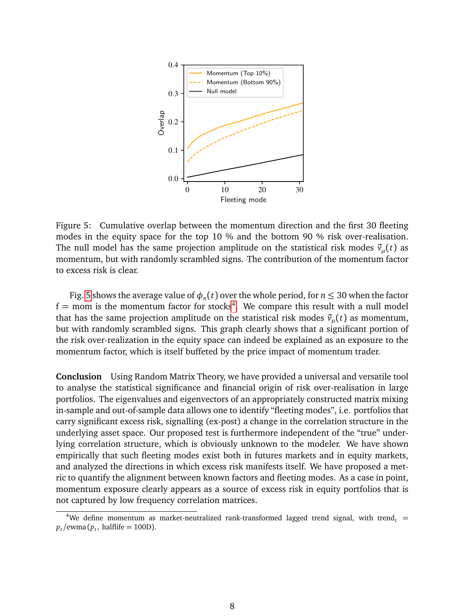

<span id="page-7-0"></span>Figure 5: Cumulative overlap between the momentum direction and the first 30 fleeting modes in the equity space for the top 10 % and the bottom 90 % risk over-realisation. The null model has the same projection amplitude on the statistical risk modes  $\vec{v}_\mu(t)$  as momentum, but with randomly scrambled signs. The contribution of the momentum factor to excess risk is clear.

Fig. [5](#page-7-0) shows the average value of  $\phi_n(t)$  over the whole period, for  $n \leq 30$  when the factor  $f =$  mom is the momentum factor for stocks<sup>[4](#page-7-1)</sup>. We compare this result with a null model that has the same projection amplitude on the statistical risk modes  $\vec{v}_{\mu}(t)$  as momentum, but with randomly scrambled signs. This graph clearly shows that a significant portion of the risk over-realization in the equity space can indeed be explained as an exposure to the momentum factor, which is itself buffeted by the price impact of momentum trader.

**Conclusion** Using Random Matrix Theory, we have provided a universal and versatile tool to analyse the statistical significance and financial origin of risk over-realisation in large portfolios. The eigenvalues and eigenvectors of an appropriately constructed matrix mixing in-sample and out-of-sample data allows one to identify "fleeting modes", i.e. portfolios that carry significant excess risk, signalling (ex-post) a change in the correlation structure in the underlying asset space. Our proposed test is furthermore independent of the "true" underlying correlation structure, which is obviously unknown to the modeler. We have shown empirically that such fleeting modes exist both in futures markets and in equity markets, and analyzed the directions in which excess risk manifests itself. We have proposed a metric to quantify the alignment between known factors and fleeting modes. As a case in point, momentum exposure clearly appears as a source of excess risk in equity portfolios that is not captured by low frequency correlation matrices.

<span id="page-7-1"></span><sup>&</sup>lt;sup>4</sup>We define momentum as market-neutralized rank-transformed lagged trend signal, with trend<sub>t</sub> =  $p_t$ /ewma( $p_t$ , halflife = 100D).